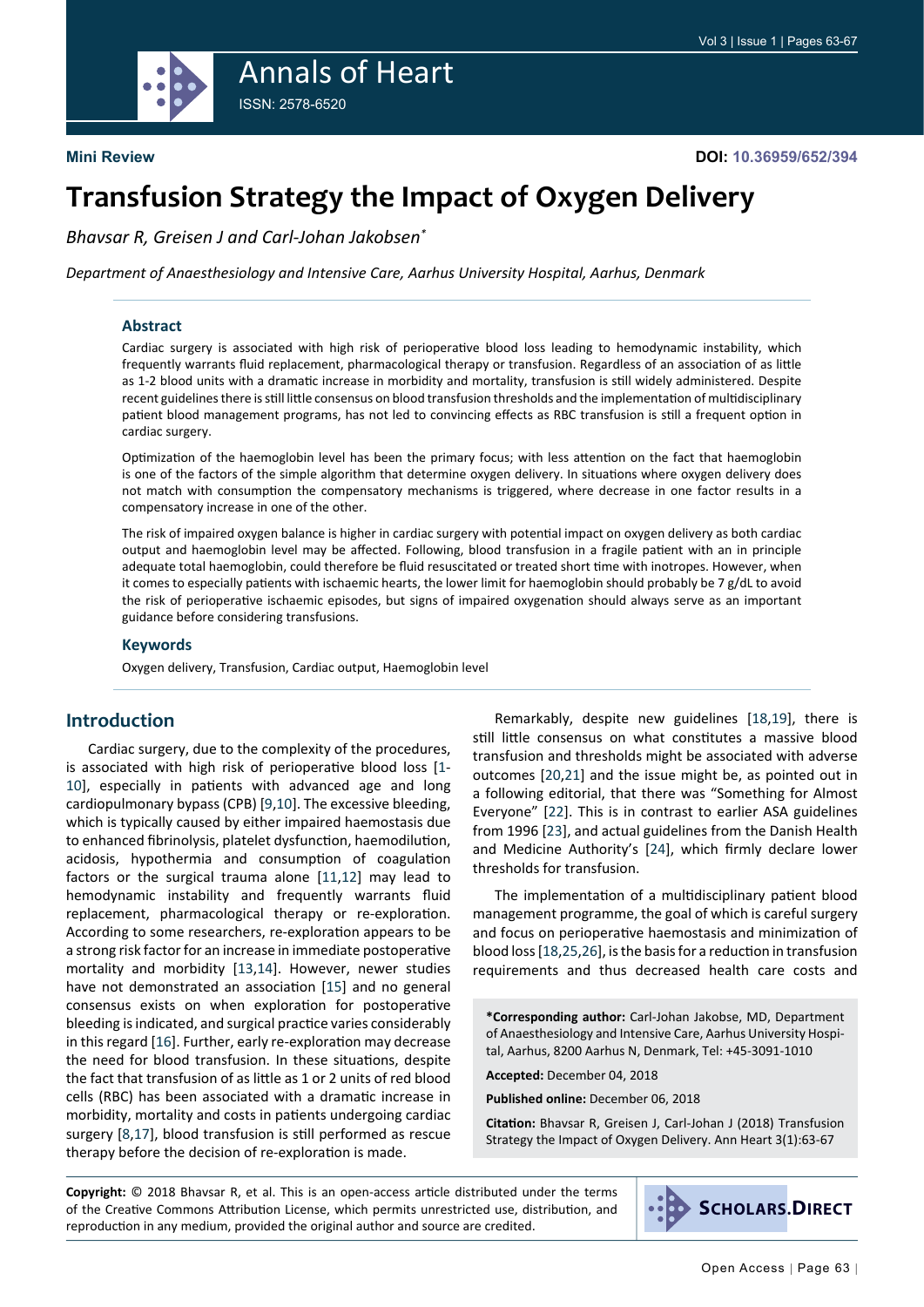

# **Transfusion Strategy the Impact of Oxygen Delivery**

*Bhavsar R, Greisen J and Carl-Johan Jakobsen\**

*Department of Anaesthesiology and Intensive Care, Aarhus University Hospital, Aarhus, Denmark*

#### **Abstract**

Cardiac surgery is associated with high risk of perioperative blood loss leading to hemodynamic instability, which frequently warrants fluid replacement, pharmacological therapy or transfusion. Regardless of an association of as little as 1-2 blood units with a dramatic increase in morbidity and mortality, transfusion is still widely administered. Despite recent guidelines there is still little consensus on blood transfusion thresholds and the implementation of multidisciplinary patient blood management programs, has not led to convincing effects as RBC transfusion is still a frequent option in cardiac surgery.

Optimization of the haemoglobin level has been the primary focus; with less attention on the fact that haemoglobin is one of the factors of the simple algorithm that determine oxygen delivery. In situations where oxygen delivery does not match with consumption the compensatory mechanisms is triggered, where decrease in one factor results in a compensatory increase in one of the other.

The risk of impaired oxygen balance is higher in cardiac surgery with potential impact on oxygen delivery as both cardiac output and haemoglobin level may be affected. Following, blood transfusion in a fragile patient with an in principle adequate total haemoglobin, could therefore be fluid resuscitated or treated short time with inotropes. However, when it comes to especially patients with ischaemic hearts, the lower limit for haemoglobin should probably be  $7$  g/dL to avoid the risk of perioperative ischaemic episodes, but signs of impaired oxygenation should always serve as an important guidance before considering transfusions.

#### **Keywords**

Oxygen delivery, Transfusion, Cardiac output, Haemoglobin level

### **Introduction**

Cardiac surgery, due to the complexity of the procedures, is associated with high risk of perioperative blood loss [[1](#page-3-0)- [10](#page-4-0)], especially in patients with advanced age and long cardiopulmonary bypass (CPB) [[9,](#page-4-1)[10](#page-4-0)]. The excessive bleeding, which is typically caused by either impaired haemostasis due to enhanced fibrinolysis, platelet dysfunction, haemodilution, acidosis, hypothermia and consumption of coagulation factors or the surgical trauma alone [[11,](#page-4-2)[12](#page-4-3)] may lead to hemodynamic instability and frequently warrants fluid replacement, pharmacological therapy or re-exploration. According to some researchers, re-exploration appears to be a strong risk factor for an increase in immediate postoperative mortality and morbidity [[13](#page-4-4),[14](#page-4-5)]. However, newer studies have not demonstrated an association [[15](#page-4-6)] and no general consensus exists on when exploration for postoperative bleeding is indicated, and surgical practice varies considerably in this regard [[16](#page-4-7)]. Further, early re-exploration may decrease the need for blood transfusion. In these situations, despite the fact that transfusion of as little as 1 or 2 units of red blood cells (RBC) has been associated with a dramatic increase in morbidity, mortality and costs in patients undergoing cardiac surgery [[8](#page-4-8)[,17](#page-4-9)], blood transfusion is still performed as rescue therapy before the decision of re-exploration is made.

Remarkably, despite new guidelines [[18,](#page-4-10)[19](#page-4-11)], there is still little consensus on what constitutes a massive blood transfusion and thresholds might be associated with adverse outcomes [[20](#page-4-12),[21](#page-4-13)] and the issue might be, as pointed out in a following editorial, that there was "Something for Almost Everyone" [[22](#page-4-14)]. This is in contrast to earlier ASA guidelines from 1996 [[23](#page-4-15)], and actual guidelines from the Danish Health and Medicine Authority's [[24](#page-4-16)], which firmly declare lower thresholds for transfusion.

The implementation of a multidisciplinary patient blood management programme, the goal of which is careful surgery and focus on perioperative haemostasis and minimization of blood loss [[18](#page-4-10)[,25,](#page-4-17)[26](#page-4-18)], is the basis for a reduction in transfusion requirements and thus decreased health care costs and

**\*Corresponding author:** Carl-Johan Jakobse, MD, Department of Anaesthesiology and Intensive Care, Aarhus University Hospital, Aarhus, 8200 Aarhus N, Denmark, Tel: +45-3091-1010

**Accepted:** December 04, 2018

**Published online:** December 06, 2018

**Citation:** Bhavsar R, Greisen J, Carl-Johan J (2018) Transfusion Strategy the Impact of Oxygen Delivery. Ann Heart 3(1):63-67

**Copyright:** © 2018 Bhavsar R, et al. This is an open-access article distributed under the terms of the Creative Commons Attribution License, which permits unrestricted use, distribution, and reproduction in any medium, provided the original author and source are credited.

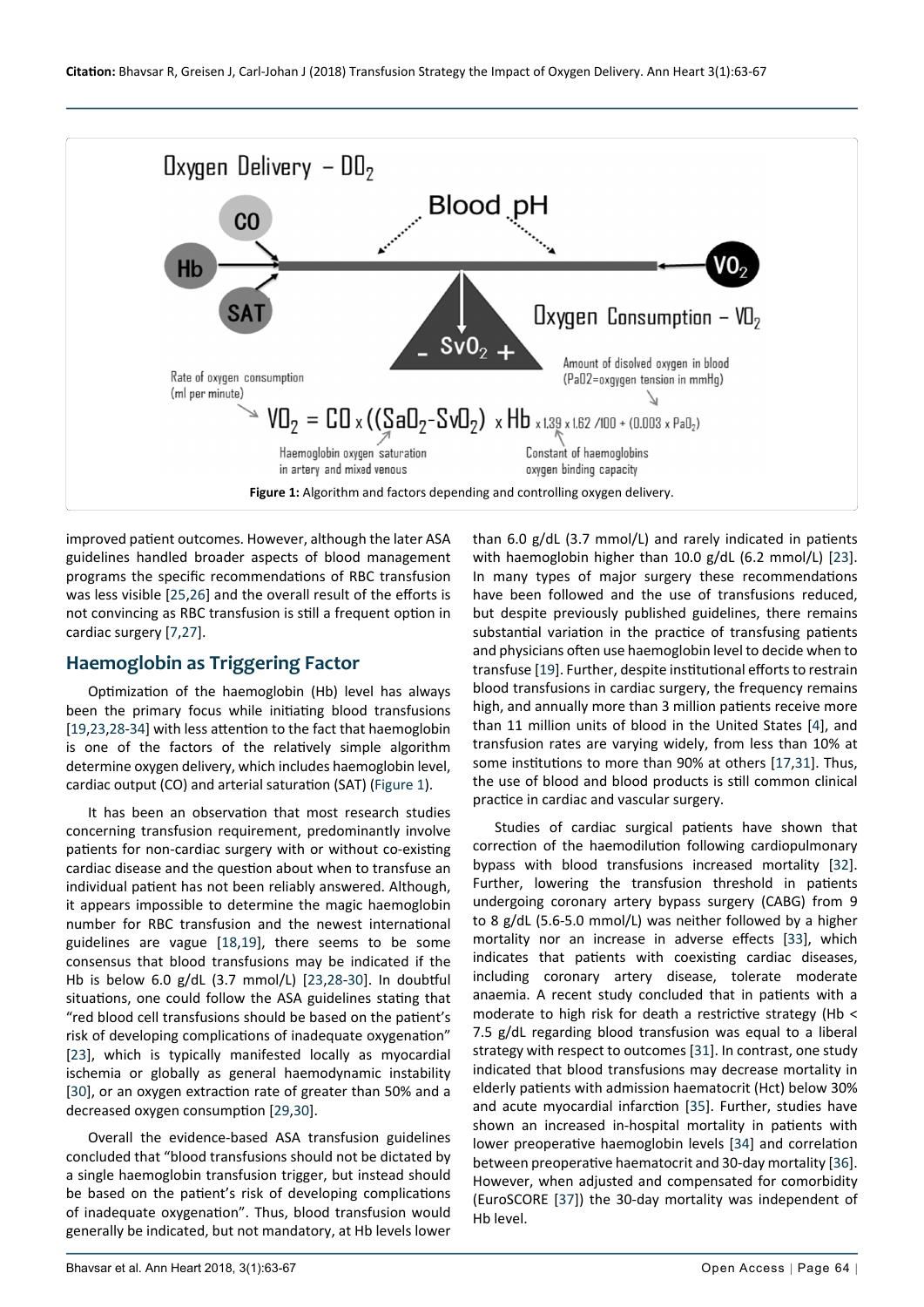<span id="page-1-0"></span>

improved patient outcomes. However, although the later ASA guidelines handled broader aspects of blood management programs the specific recommendations of RBC transfusion was less visible [[25](#page-4-17)[,26](#page-4-18)] and the overall result of the efforts is not convincing as RBC transfusion is still a frequent option in cardiac surgery [[7,](#page-4-26)[27](#page-4-27)].

## **Haemoglobin as Triggering Factor**

Optimization of the haemoglobin (Hb) level has always been the primary focus while initiating blood transfusions [[19,](#page-4-11)[23](#page-4-15)[,28-](#page-4-28)[34](#page-4-23)] with less attention to the fact that haemoglobin is one of the factors of the relatively simple algorithm determine oxygen delivery, which includes haemoglobin level, cardiac output (CO) and arterial saturation (SAT) [\(Figure 1\)](#page-1-0).

It has been an observation that most research studies concerning transfusion requirement, predominantly involve patients for non-cardiac surgery with or without co-existing cardiac disease and the question about when to transfuse an individual patient has not been reliably answered. Although, it appears impossible to determine the magic haemoglobin number for RBC transfusion and the newest international guidelines are vague [[18](#page-4-10)[,19](#page-4-11)], there seems to be some consensus that blood transfusions may be indicated if the Hb is below 6.0 g/dL (3.7 mmol/L) [[23](#page-4-15),[28](#page-4-28)[-30](#page-4-29)]. In doubtful situations, one could follow the ASA guidelines stating that "red blood cell transfusions should be based on the patient's risk of developing complications of inadequate oxygenation" [[23](#page-4-15)], which is typically manifested locally as myocardial ischemia or globally as general haemodynamic instability [[30](#page-4-29)], or an oxygen extraction rate of greater than 50% and a decreased oxygen consumption [[29,](#page-4-30)[30](#page-4-29)].

Overall the evidence-based ASA transfusion guidelines concluded that "blood transfusions should not be dictated by a single haemoglobin transfusion trigger, but instead should be based on the patient's risk of developing complications of inadequate oxygenation". Thus, blood transfusion would generally be indicated, but not mandatory, at Hb levels lower

than 6.0 g/dL (3.7 mmol/L) and rarely indicated in patients with haemoglobin higher than 10.0 g/dL (6.2 mmol/L) [[23](#page-4-15)]. In many types of major surgery these recommendations have been followed and the use of transfusions reduced, but despite previously published guidelines, there remains substantial variation in the practice of transfusing patients and physicians often use haemoglobin level to decide when to transfuse [[19](#page-4-11)]. Further, despite institutional efforts to restrain blood transfusions in cardiac surgery, the frequency remains high, and annually more than 3 million patients receive more than 11 million units of blood in the United States [[4](#page-3-1)], and transfusion rates are varying widely, from less than 10% at some institutions to more than 90% at others [[17](#page-4-9)[,31](#page-4-19)]. Thus, the use of blood and blood products is still common clinical practice in cardiac and vascular surgery.

Studies of cardiac surgical patients have shown that correction of the haemodilution following cardiopulmonary bypass with blood transfusions increased mortality [[32](#page-4-20)]. Further, lowering the transfusion threshold in patients undergoing coronary artery bypass surgery (CABG) from 9 to 8 g/dL (5.6-5.0 mmol/L) was neither followed by a higher mortality nor an increase in adverse effects [[33](#page-4-21)], which indicates that patients with coexisting cardiac diseases, including coronary artery disease, tolerate moderate anaemia. A recent study concluded that in patients with a moderate to high risk for death a restrictive strategy (Hb < 7.5 g/dL regarding blood transfusion was equal to a liberal strategy with respect to outcomes [[31](#page-4-19)]. In contrast, one study indicated that blood transfusions may decrease mortality in elderly patients with admission haematocrit (Hct) below 30% and acute myocardial infarction [[35](#page-4-22)]. Further, studies have shown an increased in-hospital mortality in patients with lower preoperative haemoglobin levels [[34](#page-4-23)] and correlation between preoperative haematocrit and 30-day mortality [[36](#page-4-24)]. However, when adjusted and compensated for comorbidity (EuroSCORE [[37](#page-4-25)]) the 30-day mortality was independent of Hb level.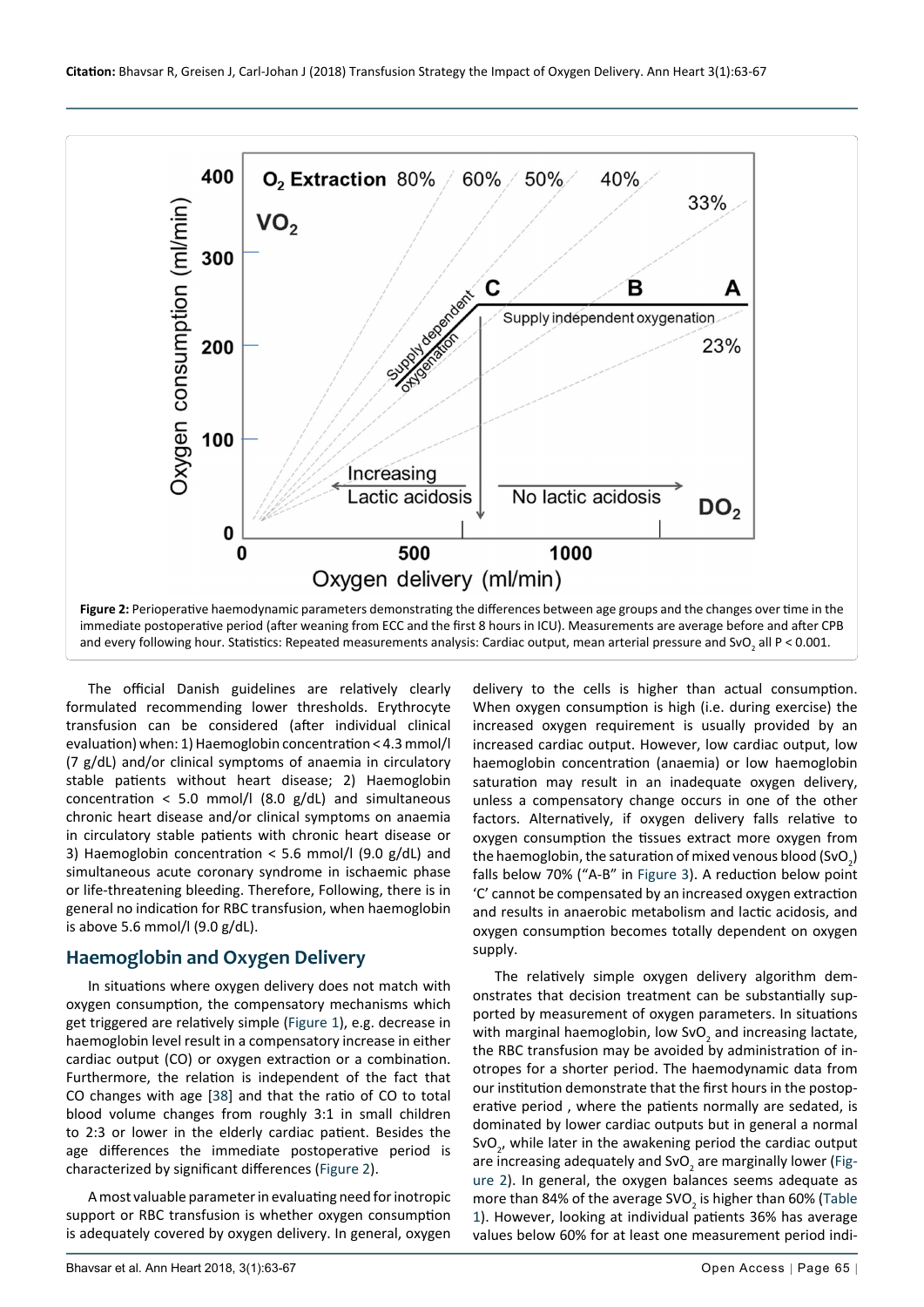<span id="page-2-0"></span>

The official Danish guidelines are relatively clearly formulated recommending lower thresholds. Erythrocyte transfusion can be considered (after individual clinical evaluation) when: 1) Haemoglobin concentration < 4.3 mmol/l (7 g/dL) and/or clinical symptoms of anaemia in circulatory stable patients without heart disease; 2) Haemoglobin concentration  $<$  5.0 mmol/l (8.0 g/dL) and simultaneous chronic heart disease and/or clinical symptoms on anaemia in circulatory stable patients with chronic heart disease or 3) Haemoglobin concentration < 5.6 mmol/l (9.0 g/dL) and simultaneous acute coronary syndrome in ischaemic phase or life-threatening bleeding. Therefore, Following, there is in general no indication for RBC transfusion, when haemoglobin is above 5.6 mmol/l (9.0 g/dL).

### **Haemoglobin and Oxygen Delivery**

In situations where oxygen delivery does not match with oxygen consumption, the compensatory mechanisms which get triggered are relatively simple ([Figure 1\)](#page-1-0), e.g. decrease in haemoglobin level result in a compensatory increase in either cardiac output (CO) or oxygen extraction or a combination. Furthermore, the relation is independent of the fact that CO changes with age [[38](#page-4-31)] and that the ratio of CO to total blood volume changes from roughly 3:1 in small children to 2:3 or lower in the elderly cardiac patient. Besides the age differences the immediate postoperative period is characterized by significant differences ([Figure 2\)](#page-2-0).

A most valuable parameter in evaluating need for inotropic support or RBC transfusion is whether oxygen consumption is adequately covered by oxygen delivery. In general, oxygen

delivery to the cells is higher than actual consumption. When oxygen consumption is high (i.e. during exercise) the increased oxygen requirement is usually provided by an increased cardiac output. However, low cardiac output, low haemoglobin concentration (anaemia) or low haemoglobin saturation may result in an inadequate oxygen delivery, unless a compensatory change occurs in one of the other factors. Alternatively, if oxygen delivery falls relative to oxygen consumption the tissues extract more oxygen from the haemoglobin, the saturation of mixed venous blood (SvO<sub>2</sub>) falls below 70% ("A-B" in [Figure 3](#page-3-2)). A reduction below point 'C' cannot be compensated by an increased oxygen extraction and results in anaerobic metabolism and lactic acidosis, and oxygen consumption becomes totally dependent on oxygen supply.

The relatively simple oxygen delivery algorithm demonstrates that decision treatment can be substantially supported by measurement of oxygen parameters. In situations with marginal haemoglobin, low SvO<sub>2</sub> and increasing lactate, the RBC transfusion may be avoided by administration of inotropes for a shorter period. The haemodynamic data from our institution demonstrate that the first hours in the postoperative period , where the patients normally are sedated, is dominated by lower cardiac outputs but in general a normal SvO<sub>2</sub>, while later in the awakening period the cardiac output are increasing adequately and SvO<sub>2</sub> are marginally lower [\(Fig](#page-2-0)[ure 2](#page-2-0)). In general, the oxygen balances seems adequate as more than 84% of the average SVO<sub>2</sub> is higher than 60% (Table [1](#page-3-3)). However, looking at individual patients 36% has average values below 60% for at least one measurement period indi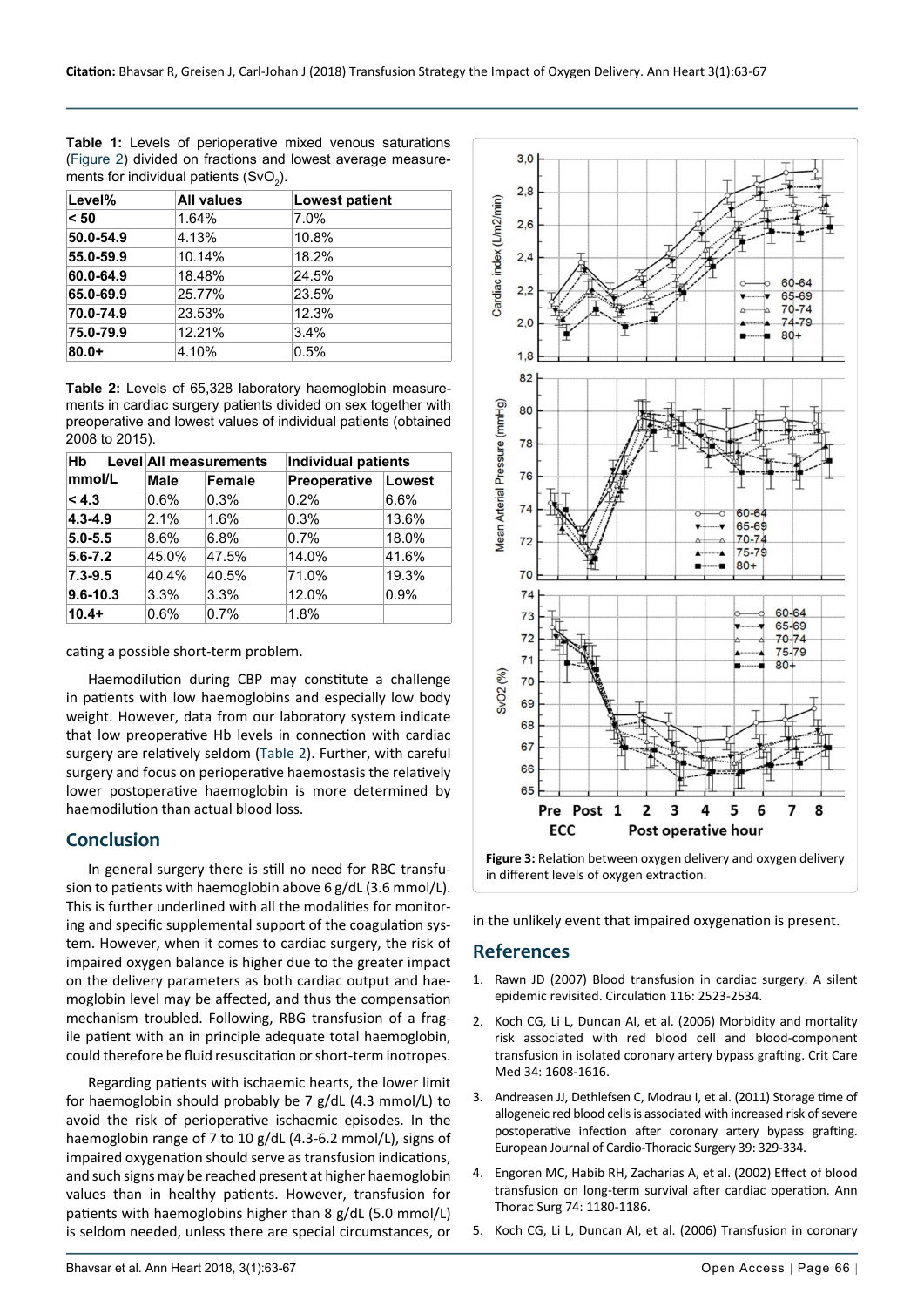<span id="page-3-3"></span>**Table 1:** Levels of perioperative mixed venous saturations ([Figure 2\)](#page-2-0) divided on fractions and lowest average measurements for individual patients (SvO<sub>2</sub>).

| Level%    | <b>All values</b> | Lowest patient |  |
|-----------|-------------------|----------------|--|
| < 50      | 1.64%             | 7.0%           |  |
| 50.0-54.9 | 4.13%             | 10.8%          |  |
| 55.0-59.9 | 10.14%            | 18.2%          |  |
| 60.0-64.9 | 18.48%            | 24.5%          |  |
| 65.0-69.9 | 25.77%            | 23.5%          |  |
| 70.0-74.9 | 23.53%            | 12.3%          |  |
| 75.0-79.9 | 12.21%            | 3.4%           |  |
| $80.0+$   | 4.10%             | 0.5%           |  |

<span id="page-3-4"></span>**Table 2:** Levels of 65,328 laboratory haemoglobin measurements in cardiac surgery patients divided on sex together with preoperative and lowest values of individual patients (obtained 2008 to 2015).

| Hb<br>mmol/L | Level All measurements |               | <b>Individual patients</b> |        |
|--------------|------------------------|---------------|----------------------------|--------|
|              | Male                   | <b>Female</b> | Preoperative               | Lowest |
| < 4.3        | 0.6%                   | 0.3%          | 0.2%                       | 6.6%   |
| $4.3 - 4.9$  | 2.1%                   | 1.6%          | 0.3%                       | 13.6%  |
| $5.0 - 5.5$  | 8.6%                   | 6.8%          | 0.7%                       | 18.0%  |
| $5.6 - 7.2$  | 45.0%                  | 47.5%         | 14.0%                      | 41.6%  |
| $7.3 - 9.5$  | 40.4%                  | 40.5%         | 71.0%                      | 19.3%  |
| $9.6 - 10.3$ | 3.3%                   | 3.3%          | 12.0%                      | 0.9%   |
| $10.4+$      | 0.6%                   | 0.7%          | 1.8%                       |        |

cating a possible short-term problem.

Haemodilution during CBP may constitute a challenge in patients with low haemoglobins and especially low body weight. However, data from our laboratory system indicate that low preoperative Hb levels in connection with cardiac surgery are relatively seldom [\(Table 2\)](#page-3-4). Further, with careful surgery and focus on perioperative haemostasis the relatively lower postoperative haemoglobin is more determined by haemodilution than actual blood loss.

#### **Conclusion**

In general surgery there is still no need for RBC transfusion to patients with haemoglobin above 6 g/dL (3.6 mmol/L). This is further underlined with all the modalities for monitoring and specific supplemental support of the coagulation system. However, when it comes to cardiac surgery, the risk of impaired oxygen balance is higher due to the greater impact on the delivery parameters as both cardiac output and haemoglobin level may be affected, and thus the compensation mechanism troubled. Following, RBG transfusion of a fragile patient with an in principle adequate total haemoglobin, could therefore be fluid resuscitation or short-term inotropes.

Regarding patients with ischaemic hearts, the lower limit for haemoglobin should probably be 7 g/dL (4.3 mmol/L) to avoid the risk of perioperative ischaemic episodes. In the haemoglobin range of 7 to 10 g/dL (4.3-6.2 mmol/L), signs of impaired oxygenation should serve as transfusion indications, and such signs may be reached present at higher haemoglobin values than in healthy patients. However, transfusion for patients with haemoglobins higher than 8 g/dL (5.0 mmol/L) is seldom needed, unless there are special circumstances, or

<span id="page-3-2"></span>

in the unlikely event that impaired oxygenation is present.

### **References**

- <span id="page-3-0"></span>1. [Rawn JD \(2007\) Blood transfusion in cardiac surgery. A silent](https://www.ahajournals.org/doi/abs/10.1161/circulationaha.107.739094)  [epidemic revisited. Circulation 116: 2523-2534.](https://www.ahajournals.org/doi/abs/10.1161/circulationaha.107.739094)
- 2. [Koch CG, Li L, Duncan AI, et al. \(2006\) Morbidity and mortality](https://www.ncbi.nlm.nih.gov/pubmed/16607235)  [risk associated with red blood cell and blood-component](https://www.ncbi.nlm.nih.gov/pubmed/16607235)  [transfusion in isolated coronary artery bypass grafting.](https://www.ncbi.nlm.nih.gov/pubmed/16607235) Crit Care [Med 34: 1608-1616.](https://www.ncbi.nlm.nih.gov/pubmed/16607235)
- 3. [Andreasen JJ, Dethlefsen C, Modrau I, et al. \(2011\) Storage time of](https://academic.oup.com/ejcts/article/39/3/329/354993)  [allogeneic red blood cells is associated with increased risk of severe](https://academic.oup.com/ejcts/article/39/3/329/354993)  [postoperative infection after coronary artery bypass grafting.](https://academic.oup.com/ejcts/article/39/3/329/354993)  [European Journal of Cardio-Thoracic Surgery 39: 329-334.](https://academic.oup.com/ejcts/article/39/3/329/354993)
- <span id="page-3-1"></span>4. [Engoren MC, Habib RH, Zacharias A, et al. \(2002\) Effect of blood](https://www.ncbi.nlm.nih.gov/pubmed/12400765)  [transfusion on long-term survival after cardiac operation. Ann](https://www.ncbi.nlm.nih.gov/pubmed/12400765)  [Thorac Surg 74:](https://www.ncbi.nlm.nih.gov/pubmed/12400765) 1180-1186.
- 5. [Koch CG, Li L, Duncan AI, et al. \(2006\) Transfusion in coronary](https://www.ncbi.nlm.nih.gov/pubmed/16631651)